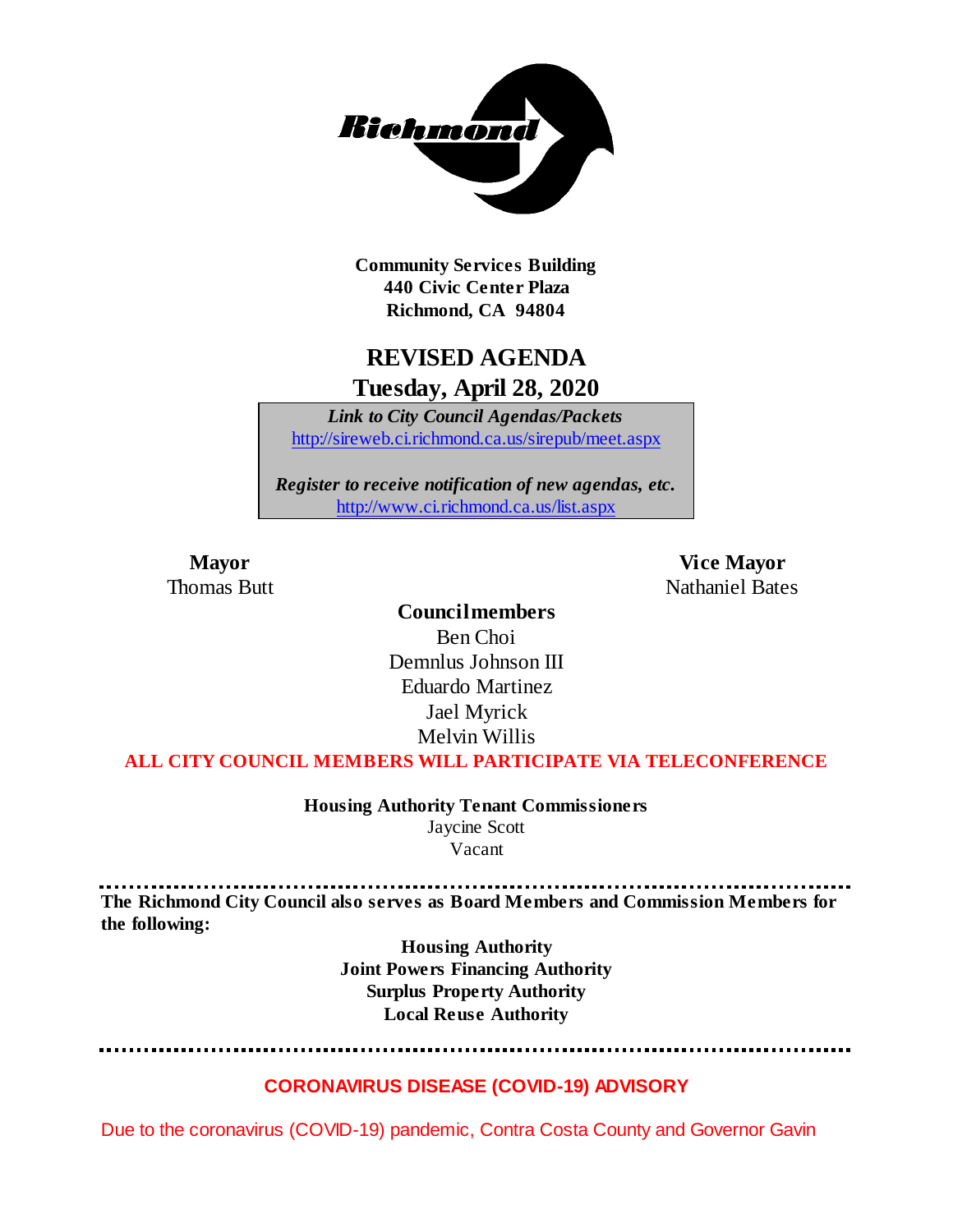

**Community Services Building 440 Civic Center Plaza Richmond, CA 94804**

### **REVISED AGENDA Tuesday, April 28, 2020**

*Link to City Council Agendas/Packets* <http://sireweb.ci.richmond.ca.us/sirepub/meet.aspx>

*Register to receive notification of new agendas, etc.* <http://www.ci.richmond.ca.us/list.aspx>

**Mayor Vice Mayor Thomas Butt** Nathaniel Bates

> **Councilmembers** Ben Choi Demnlus Johnson III Eduardo Martinez Jael Myrick Melvin Willis

**ALL CITY COUNCIL MEMBERS WILL PARTICIPATE VIA TELECONFERENCE**

**Housing Authority Tenant Commissioners** Jaycine Scott Vacant

**The Richmond City Council also serves as Board Members and Commission Members for the following:**

> **Housing Authority Joint Powers Financing Authority Surplus Property Authority Local Reuse Authority**

#### **CORONAVIRUS DISEASE (COVID-19) ADVISORY**

Due to the coronavirus (COVID-19) pandemic, Contra Costa County and Governor Gavin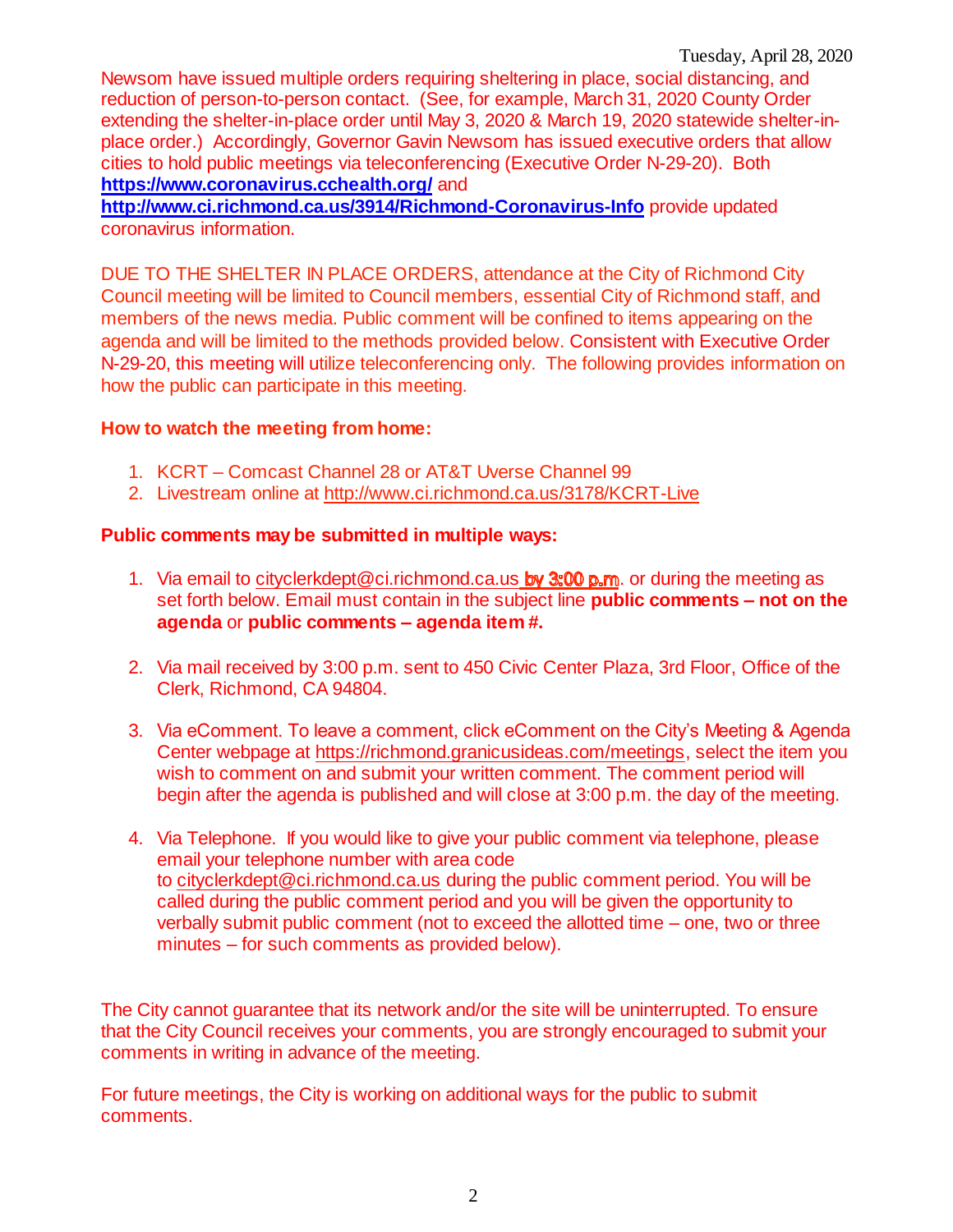Newsom have issued multiple orders requiring sheltering in place, social distancing, and reduction of person-to-person contact. (See, for example, March 31, 2020 County Order extending the shelter-in-place order until May 3, 2020 & March 19, 2020 statewide shelter-inplace order.) Accordingly, Governor Gavin Newsom has issued executive orders that allow cities to hold public meetings via teleconferencing (Executive Order N-29-20). Both **<https://www.coronavirus.cchealth.org/>** and

**<http://www.ci.richmond.ca.us/3914/Richmond-Coronavirus-Info>** provide updated coronavirus information.

DUE TO THE SHELTER IN PLACE ORDERS, attendance at the City of Richmond City Council meeting will be limited to Council members, essential City of Richmond staff, and members of the news media. Public comment will be confined to items appearing on the agenda and will be limited to the methods provided below. Consistent with Executive Order N-29-20, this meeting will utilize teleconferencing only. The following provides information on how the public can participate in this meeting.

#### **How to watch the meeting from home:**

- 1. KCRT Comcast Channel 28 or AT&T Uverse Channel 99
- 2. Livestream online at<http://www.ci.richmond.ca.us/3178/KCRT-Live>

#### **Public comments may be submitted in multiple ways:**

- 1. Via email to [cityclerkdept@ci.richmond.ca.us](mailto:cityclerkdept@ci.richmond.ca.us) by  $3.00$  p.m. or during the meeting as set forth below. Email must contain in the subject line **public comments – not on the agenda** or **public comments – agenda item #.**
- 2. Via mail received by 3:00 p.m. sent to 450 Civic Center Plaza, 3rd Floor, Office of the Clerk, Richmond, CA 94804.
- 3. Via eComment. To leave a comment, click eComment on the City's Meeting & Agenda Center webpage at [https://richmond.granicusideas.com/meetings,](https://richmond.granicusideas.com/meetings) select the item you wish to comment on and submit your written comment. The comment period will begin after the agenda is published and will close at 3:00 p.m. the day of the meeting.
- 4. Via Telephone. If you would like to give your public comment via telephone, please email your telephone number with area code to [cityclerkdept@ci.richmond.ca.us](mailto:cityclerkdept@ci.richmond.ca.us) during the public comment period. You will be called during the public comment period and you will be given the opportunity to verbally submit public comment (not to exceed the allotted time – one, two or three minutes – for such comments as provided below).

The City cannot guarantee that its network and/or the site will be uninterrupted. To ensure that the City Council receives your comments, you are strongly encouraged to submit your comments in writing in advance of the meeting.

For future meetings, the City is working on additional ways for the public to submit comments.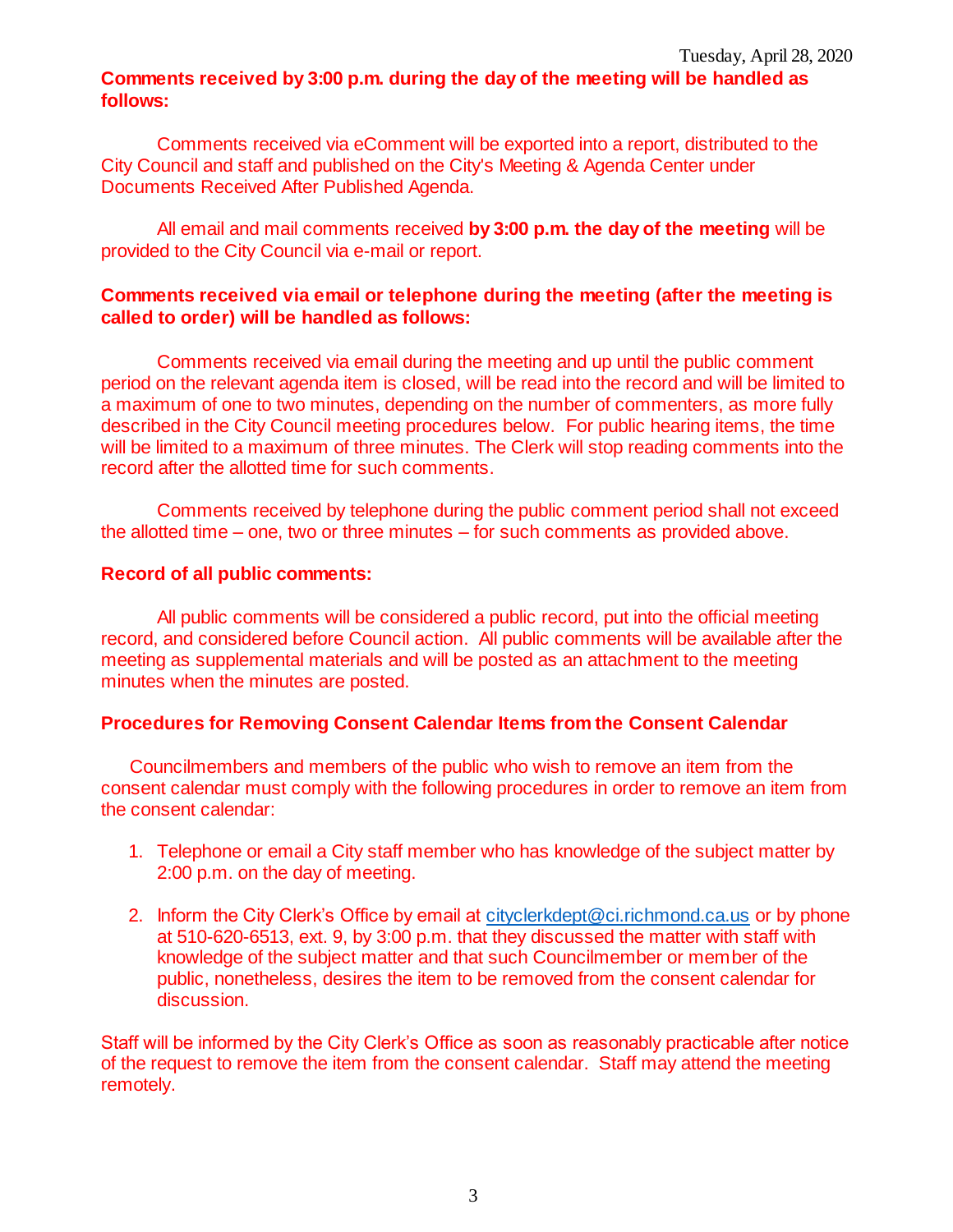#### **Comments received by 3:00 p.m. during the day of the meeting will be handled as follows:**

Comments received via eComment will be exported into a report, distributed to the City Council and staff and published on the City's Meeting & Agenda Center under Documents Received After Published Agenda.

All email and mail comments received **by 3:00 p.m. the day of the meeting** will be provided to the City Council via e-mail or report.

#### **Comments received via email or telephone during the meeting (after the meeting is called to order) will be handled as follows:**

Comments received via email during the meeting and up until the public comment period on the relevant agenda item is closed, will be read into the record and will be limited to a maximum of one to two minutes, depending on the number of commenters, as more fully described in the City Council meeting procedures below. For public hearing items, the time will be limited to a maximum of three minutes. The Clerk will stop reading comments into the record after the allotted time for such comments.

Comments received by telephone during the public comment period shall not exceed the allotted time – one, two or three minutes – for such comments as provided above.

#### **Record of all public comments:**

All public comments will be considered a public record, put into the official meeting record, and considered before Council action. All public comments will be available after the meeting as supplemental materials and will be posted as an attachment to the meeting minutes when the minutes are posted.

#### **Procedures for Removing Consent Calendar Items from the Consent Calendar**

Councilmembers and members of the public who wish to remove an item from the consent calendar must comply with the following procedures in order to remove an item from the consent calendar:

- 1. Telephone or email a City staff member who has knowledge of the subject matter by 2:00 p.m. on the day of meeting.
- 2. Inform the City Clerk's Office by email at [cityclerkdept@ci.richmond.ca.us](mailto:cityclerkdept@ci.richmond.ca.us) or by phone at 510-620-6513, ext. 9, by 3:00 p.m. that they discussed the matter with staff with knowledge of the subject matter and that such Councilmember or member of the public, nonetheless, desires the item to be removed from the consent calendar for discussion.

Staff will be informed by the City Clerk's Office as soon as reasonably practicable after notice of the request to remove the item from the consent calendar. Staff may attend the meeting remotely.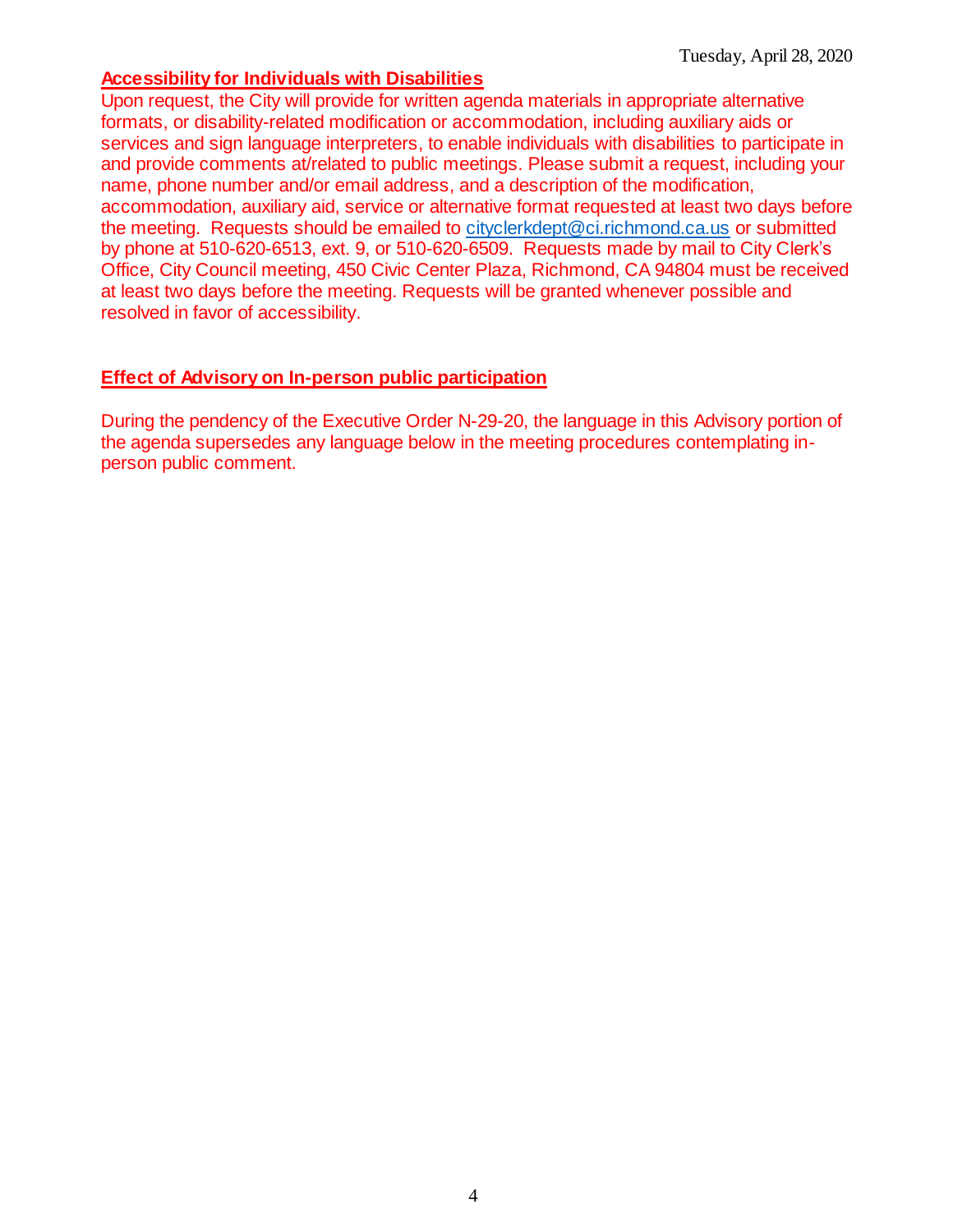#### **Accessibility for Individuals with Disabilities**

Upon request, the City will provide for written agenda materials in appropriate alternative formats, or disability-related modification or accommodation, including auxiliary aids or services and sign language interpreters, to enable individuals with disabilities to participate in and provide comments at/related to public meetings. Please submit a request, including your name, phone number and/or email address, and a description of the modification, accommodation, auxiliary aid, service or alternative format requested at least two days before the meeting. Requests should be emailed to [cityclerkdept@ci.richmond.ca.us](mailto:cityclerkdept@ci.richmond.ca.us) or submitted by phone at 510-620-6513, ext. 9, or 510-620-6509. Requests made by mail to City Clerk's Office, City Council meeting, 450 Civic Center Plaza, Richmond, CA 94804 must be received at least two days before the meeting. Requests will be granted whenever possible and resolved in favor of accessibility.

#### **Effect of Advisory on In-person public participation**

During the pendency of the Executive Order N-29-20, the language in this Advisory portion of the agenda supersedes any language below in the meeting procedures contemplating inperson public comment.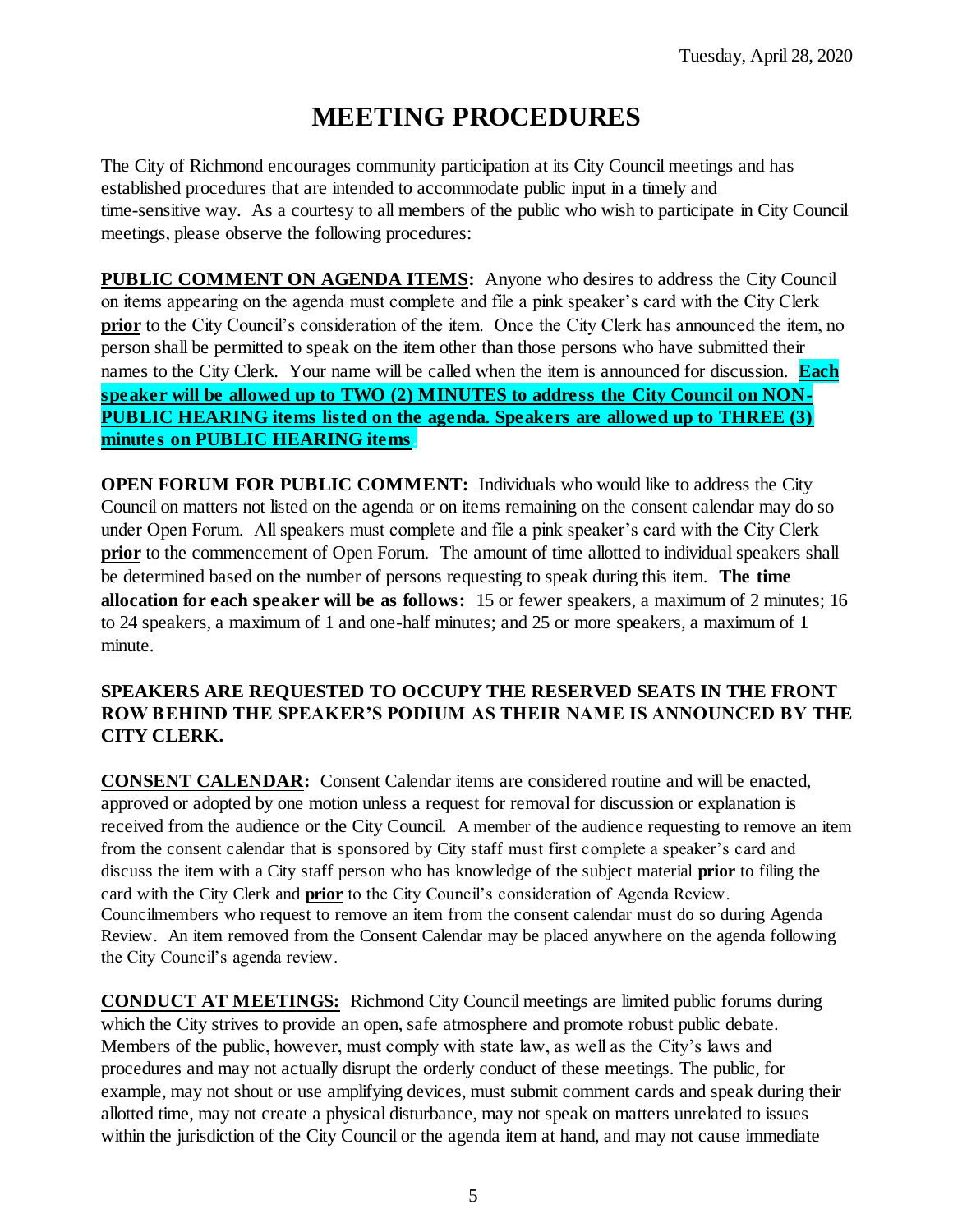# **MEETING PROCEDURES**

The City of Richmond encourages community participation at its City Council meetings and has established procedures that are intended to accommodate public input in a timely and time-sensitive way. As a courtesy to all members of the public who wish to participate in City Council meetings, please observe the following procedures:

**PUBLIC COMMENT ON AGENDA ITEMS:** Anyone who desires to address the City Council on items appearing on the agenda must complete and file a pink speaker's card with the City Clerk **prior** to the City Council's consideration of the item. Once the City Clerk has announced the item, no person shall be permitted to speak on the item other than those persons who have submitted their names to the City Clerk. Your name will be called when the item is announced for discussion. **Each speaker will be allowed up to TWO (2) MINUTES to address the City Council on NON-PUBLIC HEARING items listed on the agenda. Speakers are allowed up to THREE (3) minutes on PUBLIC HEARING items.**

**OPEN FORUM FOR PUBLIC COMMENT:** Individuals who would like to address the City Council on matters not listed on the agenda or on items remaining on the consent calendar may do so under Open Forum. All speakers must complete and file a pink speaker's card with the City Clerk **prior** to the commencement of Open Forum. The amount of time allotted to individual speakers shall be determined based on the number of persons requesting to speak during this item. **The time allocation for each speaker will be as follows:** 15 or fewer speakers, a maximum of 2 minutes; 16 to 24 speakers, a maximum of 1 and one-half minutes; and 25 or more speakers, a maximum of 1 minute.

#### **SPEAKERS ARE REQUESTED TO OCCUPY THE RESERVED SEATS IN THE FRONT ROW BEHIND THE SPEAKER'S PODIUM AS THEIR NAME IS ANNOUNCED BY THE CITY CLERK.**

**CONSENT CALENDAR:** Consent Calendar items are considered routine and will be enacted, approved or adopted by one motion unless a request for removal for discussion or explanation is received from the audience or the City Council. A member of the audience requesting to remove an item from the consent calendar that is sponsored by City staff must first complete a speaker's card and discuss the item with a City staff person who has knowledge of the subject material **prior** to filing the card with the City Clerk and **prior** to the City Council's consideration of Agenda Review. Councilmembers who request to remove an item from the consent calendar must do so during Agenda Review. An item removed from the Consent Calendar may be placed anywhere on the agenda following the City Council's agenda review.

**CONDUCT AT MEETINGS:** Richmond City Council meetings are limited public forums during which the City strives to provide an open, safe atmosphere and promote robust public debate. Members of the public, however, must comply with state law, as well as the City's laws and procedures and may not actually disrupt the orderly conduct of these meetings. The public, for example, may not shout or use amplifying devices, must submit comment cards and speak during their allotted time, may not create a physical disturbance, may not speak on matters unrelated to issues within the jurisdiction of the City Council or the agenda item at hand, and may not cause immediate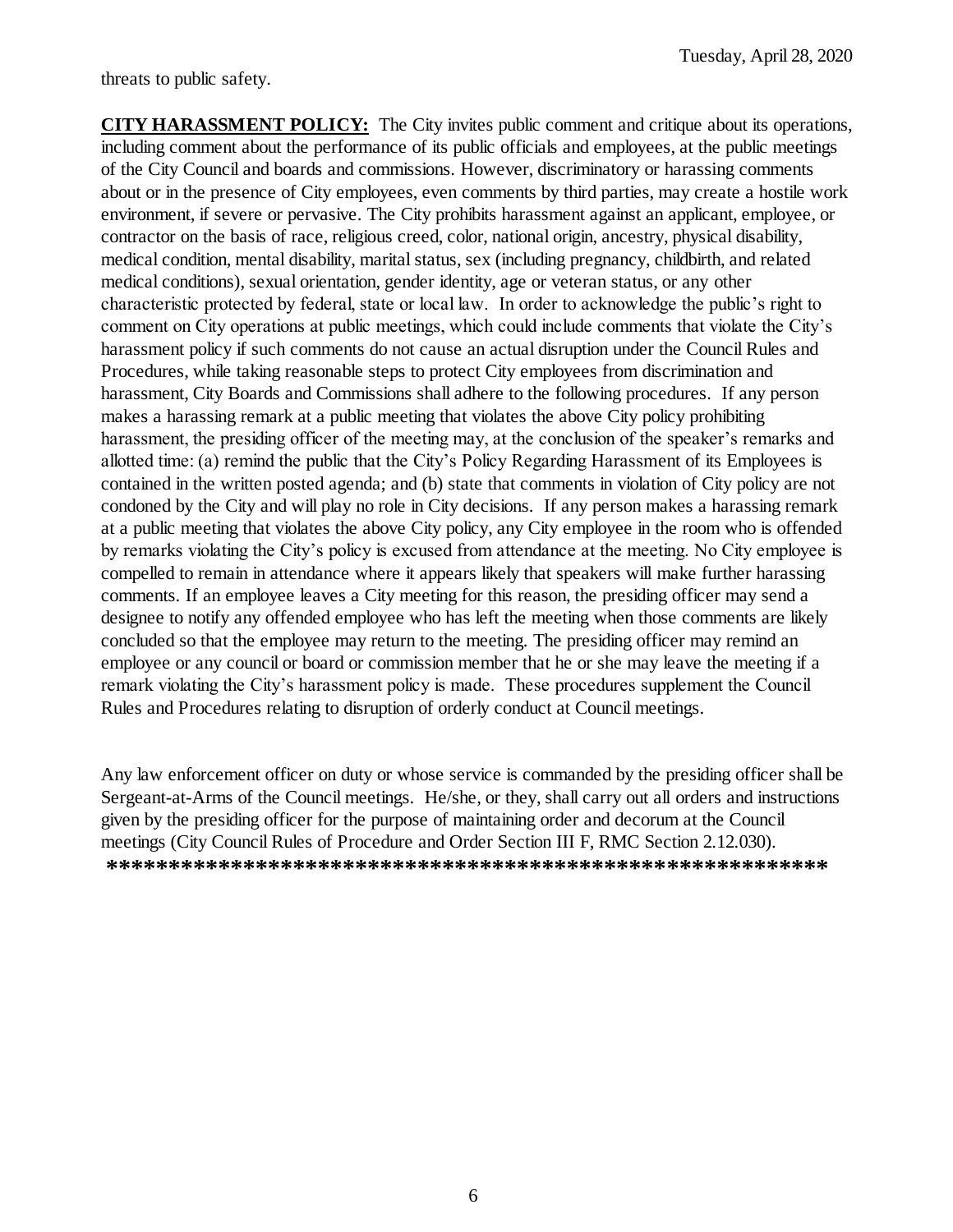threats to public safety.

**CITY HARASSMENT POLICY:** The City invites public comment and critique about its operations, including comment about the performance of its public officials and employees, at the public meetings of the City Council and boards and commissions. However, discriminatory or harassing comments about or in the presence of City employees, even comments by third parties, may create a hostile work environment, if severe or pervasive. The City prohibits harassment against an applicant, employee, or contractor on the basis of race, religious creed, color, national origin, ancestry, physical disability, medical condition, mental disability, marital status, sex (including pregnancy, childbirth, and related medical conditions), sexual orientation, gender identity, age or veteran status, or any other characteristic protected by federal, state or local law. In order to acknowledge the public's right to comment on City operations at public meetings, which could include comments that violate the City's harassment policy if such comments do not cause an actual disruption under the Council Rules and Procedures, while taking reasonable steps to protect City employees from discrimination and harassment, City Boards and Commissions shall adhere to the following procedures. If any person makes a harassing remark at a public meeting that violates the above City policy prohibiting harassment, the presiding officer of the meeting may, at the conclusion of the speaker's remarks and allotted time: (a) remind the public that the City's Policy Regarding Harassment of its Employees is contained in the written posted agenda; and (b) state that comments in violation of City policy are not condoned by the City and will play no role in City decisions. If any person makes a harassing remark at a public meeting that violates the above City policy, any City employee in the room who is offended by remarks violating the City's policy is excused from attendance at the meeting. No City employee is compelled to remain in attendance where it appears likely that speakers will make further harassing comments. If an employee leaves a City meeting for this reason, the presiding officer may send a designee to notify any offended employee who has left the meeting when those comments are likely concluded so that the employee may return to the meeting. The presiding officer may remind an employee or any council or board or commission member that he or she may leave the meeting if a remark violating the City's harassment policy is made. These procedures supplement the Council Rules and Procedures relating to disruption of orderly conduct at Council meetings.

Any law enforcement officer on duty or whose service is commanded by the presiding officer shall be Sergeant-at-Arms of the Council meetings. He/she, or they, shall carry out all orders and instructions given by the presiding officer for the purpose of maintaining order and decorum at the Council meetings (City Council Rules of Procedure and Order Section III F, RMC Section 2.12.030). **\*\*\*\*\*\*\*\*\*\*\*\*\*\*\*\*\*\*\*\*\*\*\*\*\*\*\*\*\*\*\*\*\*\*\*\*\*\*\*\*\*\*\*\*\*\*\*\*\*\*\*\*\*\*\*\*\*\***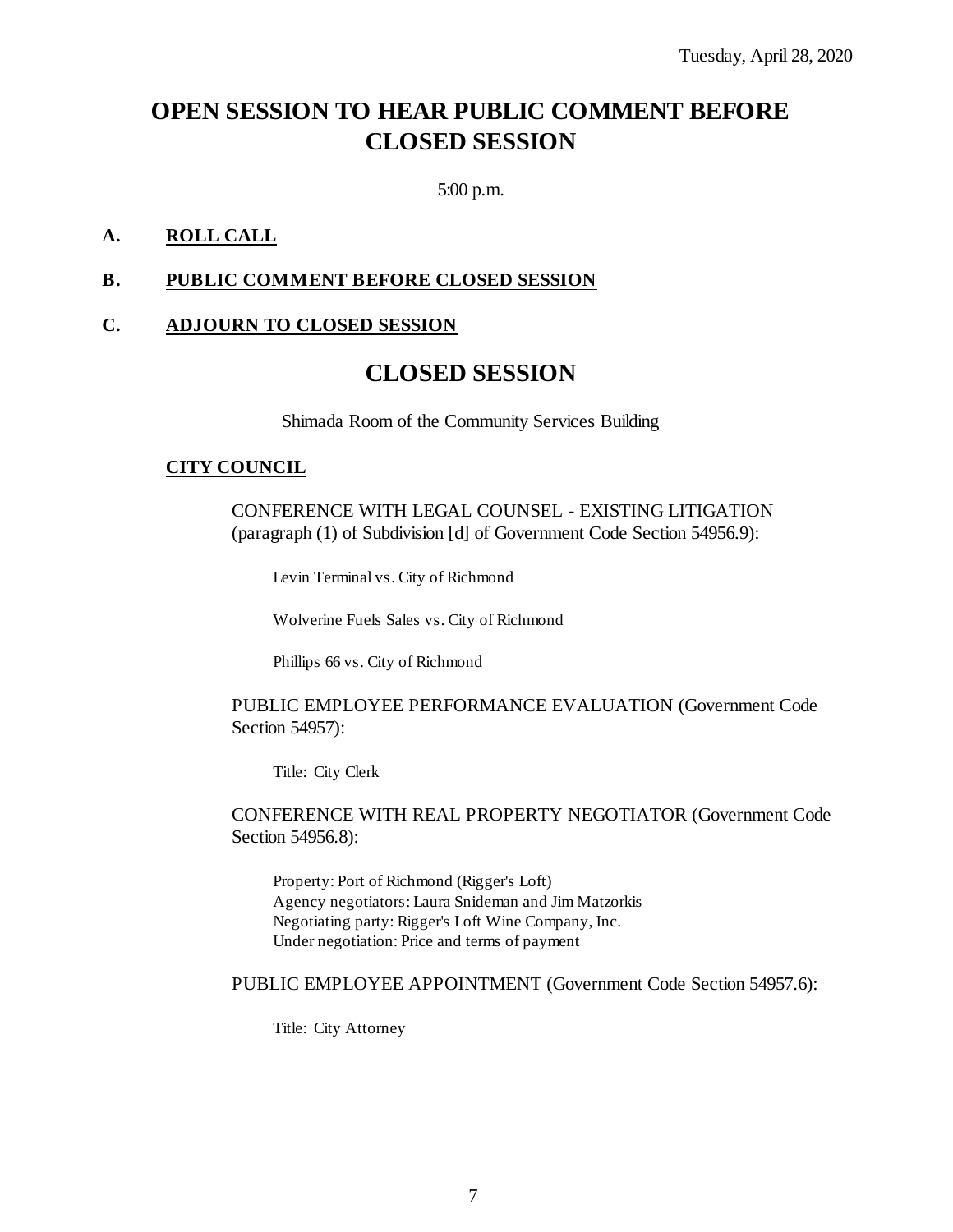## **OPEN SESSION TO HEAR PUBLIC COMMENT BEFORE CLOSED SESSION**

5:00 p.m.

#### **A. ROLL CALL**

#### **B. PUBLIC COMMENT BEFORE CLOSED SESSION**

#### **C. ADJOURN TO CLOSED SESSION**

### **CLOSED SESSION**

Shimada Room of the Community Services Building

#### **CITY COUNCIL**

CONFERENCE WITH LEGAL COUNSEL - EXISTING LITIGATION (paragraph (1) of Subdivision [d] of Government Code Section 54956.9):

Levin Terminal vs. City of Richmond

Wolverine Fuels Sales vs. City of Richmond

Phillips 66 vs. City of Richmond

PUBLIC EMPLOYEE PERFORMANCE EVALUATION (Government Code Section 54957):

Title: City Clerk

CONFERENCE WITH REAL PROPERTY NEGOTIATOR (Government Code Section 54956.8):

Property: Port of Richmond (Rigger's Loft) Agency negotiators: Laura Snideman and Jim Matzorkis Negotiating party: Rigger's Loft Wine Company, Inc. Under negotiation: Price and terms of payment

PUBLIC EMPLOYEE APPOINTMENT (Government Code Section 54957.6):

Title: City Attorney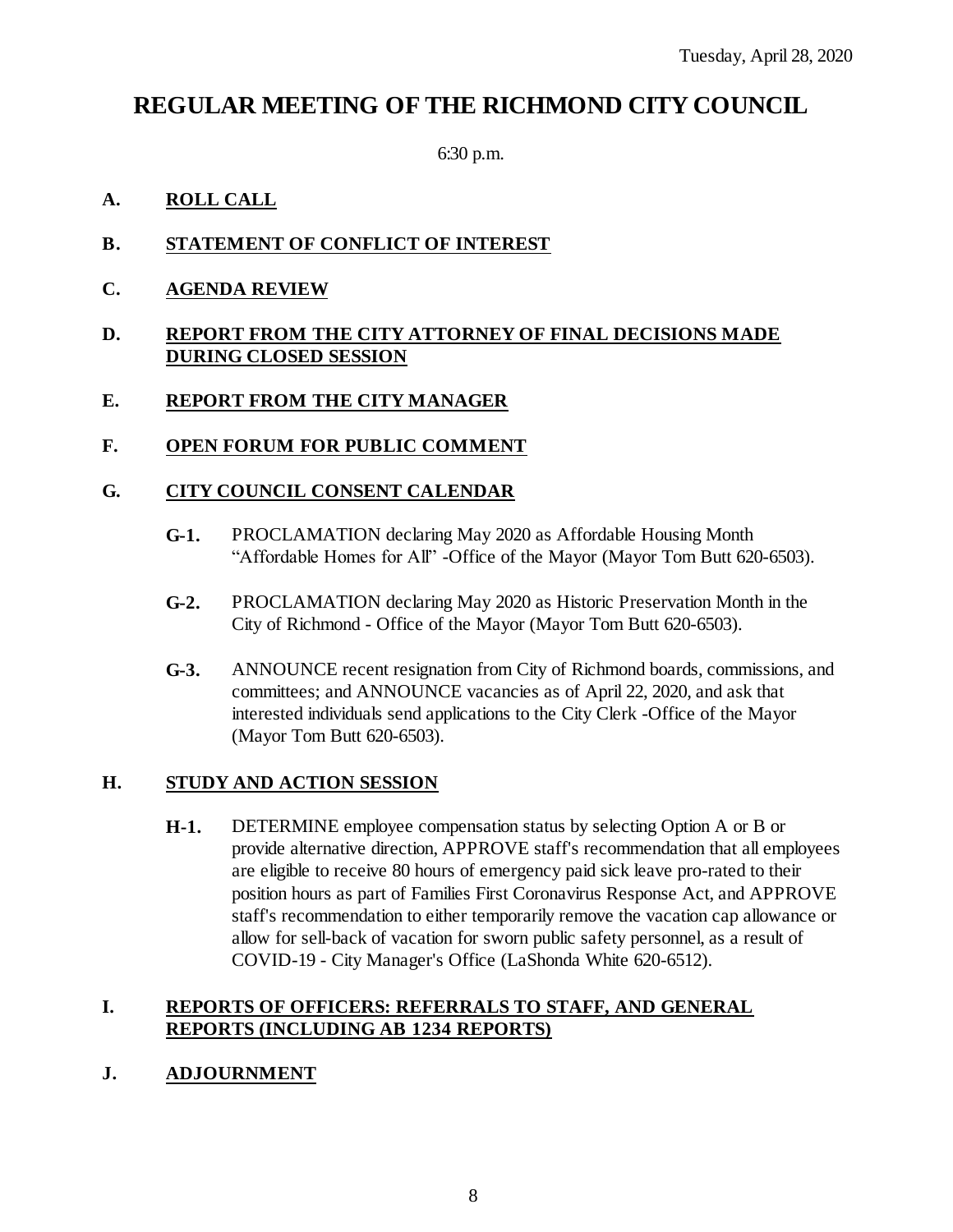### **REGULAR MEETING OF THE RICHMOND CITY COUNCIL**

6:30 p.m.

#### **A. ROLL CALL**

- **B. STATEMENT OF CONFLICT OF INTEREST**
- **C. AGENDA REVIEW**

#### **D. REPORT FROM THE CITY ATTORNEY OF FINAL DECISIONS MADE DURING CLOSED SESSION**

#### **E. REPORT FROM THE CITY MANAGER**

**F. OPEN FORUM FOR PUBLIC COMMENT**

#### **G. CITY COUNCIL CONSENT CALENDAR**

- **G-1.** PROCLAMATION declaring May 2020 as Affordable Housing Month "Affordable Homes for All" -Office of the Mayor (Mayor Tom Butt 620-6503).
- **G-2.** PROCLAMATION declaring May 2020 as Historic Preservation Month in the City of Richmond - Office of the Mayor (Mayor Tom Butt 620-6503).
- **G-3.** ANNOUNCE recent resignation from City of Richmond boards, commissions, and committees; and ANNOUNCE vacancies as of April 22, 2020, and ask that interested individuals send applications to the City Clerk -Office of the Mayor (Mayor Tom Butt 620-6503).

#### **H. STUDY AND ACTION SESSION**

**H-1.** DETERMINE employee compensation status by selecting Option A or B or provide alternative direction, APPROVE staff's recommendation that all employees are eligible to receive 80 hours of emergency paid sick leave pro-rated to their position hours as part of Families First Coronavirus Response Act, and APPROVE staff's recommendation to either temporarily remove the vacation cap allowance or allow for sell-back of vacation for sworn public safety personnel, as a result of COVID-19 - City Manager's Office (LaShonda White 620-6512).

#### **I. REPORTS OF OFFICERS: REFERRALS TO STAFF, AND GENERAL REPORTS (INCLUDING AB 1234 REPORTS)**

**J. ADJOURNMENT**